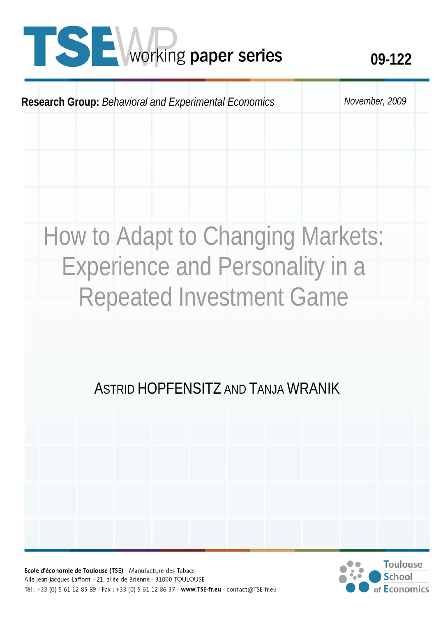# **1 SE** working paper series 09-122



## How to Adapt to Changing Markets: Experience and Personality in a Repeated Investment Game

### ASTRID HOPFENSITZ AND TANJA WRANIK

Ecole d'économie de Toulouse (TSE) - Manufacture des Tabacs Aile Jean-Jacques Laffont - 21, allée de Brienne - 31000 TOULOUSE Tél: +33 (0) 5 61 12 85 89 - Fax: +33 (0) 5 61 12 86 37 - www.TSE-fr.eu - contact@TSE-fr.eu

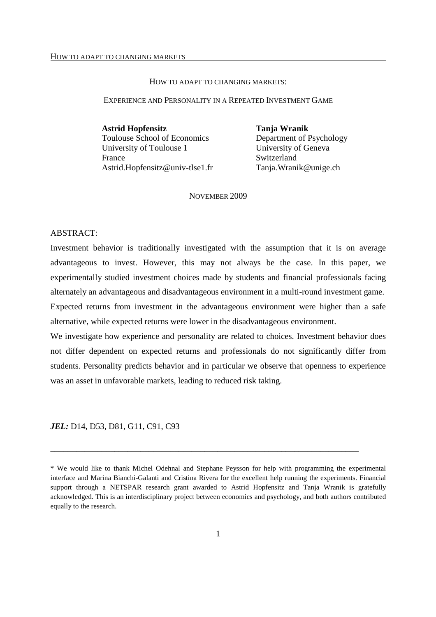#### HOW TO ADAPT TO CHANGING MARKETS:

#### EXPERIENCE AND PERSONALITY IN A REPEATED INVESTMENT GAME

**Astrid Hopfensitz Tanja Wranik**  Toulouse School of Economics Department of Psychology University of Toulouse 1 University of Geneva France Switzerland Astrid.Hopfensitz@univ-tlse1.fr Tanja.Wranik@unige.ch

NOVEMBER 2009

#### ABSTRACT:

Investment behavior is traditionally investigated with the assumption that it is on average advantageous to invest. However, this may not always be the case. In this paper, we experimentally studied investment choices made by students and financial professionals facing alternately an advantageous and disadvantageous environment in a multi-round investment game.

Expected returns from investment in the advantageous environment were higher than a safe alternative, while expected returns were lower in the disadvantageous environment.

We investigate how experience and personality are related to choices. Investment behavior does not differ dependent on expected returns and professionals do not significantly differ from students. Personality predicts behavior and in particular we observe that openness to experience was an asset in unfavorable markets, leading to reduced risk taking.

*JEL:* D14, D53, D81, G11, C91, C93

\_\_\_\_\_\_\_\_\_\_\_\_\_\_\_\_\_\_\_\_\_\_\_\_\_\_\_\_\_\_\_\_\_\_\_\_\_\_\_\_\_\_\_\_\_\_\_\_\_\_\_\_\_\_\_\_\_\_\_\_\_\_\_\_\_\_\_\_\_\_\_\_

<sup>\*</sup> We would like to thank Michel Odehnal and Stephane Peysson for help with programming the experimental interface and Marina Bianchi-Galanti and Cristina Rivera for the excellent help running the experiments. Financial support through a NETSPAR research grant awarded to Astrid Hopfensitz and Tanja Wranik is gratefully acknowledged. This is an interdisciplinary project between economics and psychology, and both authors contributed equally to the research.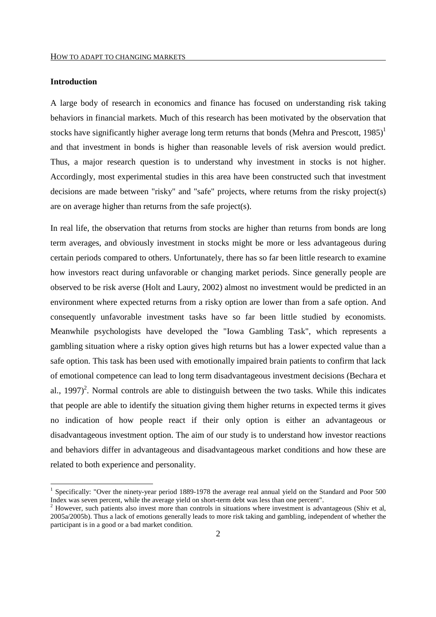#### **Introduction**

-

A large body of research in economics and finance has focused on understanding risk taking behaviors in financial markets. Much of this research has been motivated by the observation that stocks have significantly higher average long term returns that bonds (Mehra and Prescott,  $1985$ )<sup>1</sup> and that investment in bonds is higher than reasonable levels of risk aversion would predict. Thus, a major research question is to understand why investment in stocks is not higher. Accordingly, most experimental studies in this area have been constructed such that investment decisions are made between "risky" and "safe" projects, where returns from the risky project(s) are on average higher than returns from the safe project(s).

In real life, the observation that returns from stocks are higher than returns from bonds are long term averages, and obviously investment in stocks might be more or less advantageous during certain periods compared to others. Unfortunately, there has so far been little research to examine how investors react during unfavorable or changing market periods. Since generally people are observed to be risk averse (Holt and Laury, 2002) almost no investment would be predicted in an environment where expected returns from a risky option are lower than from a safe option. And consequently unfavorable investment tasks have so far been little studied by economists. Meanwhile psychologists have developed the "Iowa Gambling Task", which represents a gambling situation where a risky option gives high returns but has a lower expected value than a safe option. This task has been used with emotionally impaired brain patients to confirm that lack of emotional competence can lead to long term disadvantageous investment decisions (Bechara et al., 1997)<sup>2</sup>. Normal controls are able to distinguish between the two tasks. While this indicates that people are able to identify the situation giving them higher returns in expected terms it gives no indication of how people react if their only option is either an advantageous or disadvantageous investment option. The aim of our study is to understand how investor reactions and behaviors differ in advantageous and disadvantageous market conditions and how these are related to both experience and personality.

<sup>&</sup>lt;sup>1</sup> Specifically: "Over the ninety-year period 1889-1978 the average real annual yield on the Standard and Poor 500 Index was seven percent, while the average yield on short-term debt was less than one percent".<br><sup>2</sup> However, such petients also invest more than controls in situations where investment is adve

However, such patients also invest more than controls in situations where investment is advantageous (Shiv et al, 2005a/2005b). Thus a lack of emotions generally leads to more risk taking and gambling, independent of whether the participant is in a good or a bad market condition.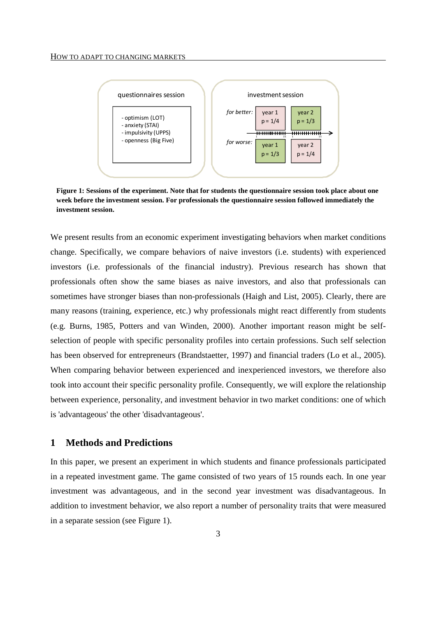

**Figure 1: Sessions of the experiment. Note that for students the questionnaire session took place about one week before the investment session. For professionals the questionnaire session followed immediately the investment session.** 

We present results from an economic experiment investigating behaviors when market conditions change. Specifically, we compare behaviors of naive investors (i.e. students) with experienced investors (i.e. professionals of the financial industry). Previous research has shown that professionals often show the same biases as naive investors, and also that professionals can sometimes have stronger biases than non-professionals (Haigh and List, 2005). Clearly, there are many reasons (training, experience, etc.) why professionals might react differently from students (e.g. Burns, 1985, Potters and van Winden, 2000). Another important reason might be selfselection of people with specific personality profiles into certain professions. Such self selection has been observed for entrepreneurs (Brandstaetter, 1997) and financial traders (Lo et al., 2005). When comparing behavior between experienced and inexperienced investors, we therefore also took into account their specific personality profile. Consequently, we will explore the relationship between experience, personality, and investment behavior in two market conditions: one of which is 'advantageous' the other 'disadvantageous'.

#### **1 Methods and Predictions**

In this paper, we present an experiment in which students and finance professionals participated in a repeated investment game. The game consisted of two years of 15 rounds each. In one year investment was advantageous, and in the second year investment was disadvantageous. In addition to investment behavior, we also report a number of personality traits that were measured in a separate session (see Figure 1).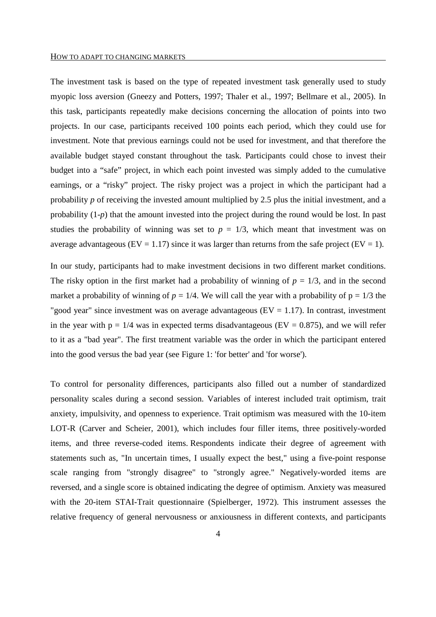The investment task is based on the type of repeated investment task generally used to study myopic loss aversion (Gneezy and Potters, 1997; Thaler et al., 1997; Bellmare et al., 2005). In this task, participants repeatedly make decisions concerning the allocation of points into two projects. In our case, participants received 100 points each period, which they could use for investment. Note that previous earnings could not be used for investment, and that therefore the available budget stayed constant throughout the task. Participants could chose to invest their budget into a "safe" project, in which each point invested was simply added to the cumulative earnings, or a "risky" project. The risky project was a project in which the participant had a probability *p* of receiving the invested amount multiplied by 2.5 plus the initial investment*,* and a probability (1-*p*) that the amount invested into the project during the round would be lost. In past studies the probability of winning was set to  $p = 1/3$ , which meant that investment was on average advantageous ( $EV = 1.17$ ) since it was larger than returns from the safe project ( $EV = 1$ ).

In our study, participants had to make investment decisions in two different market conditions. The risky option in the first market had a probability of winning of  $p = 1/3$ , and in the second market a probability of winning of  $p = 1/4$ . We will call the year with a probability of  $p = 1/3$  the "good year" since investment was on average advantageous ( $EV = 1.17$ ). In contrast, investment in the year with  $p = 1/4$  was in expected terms disadvantageous (EV = 0.875), and we will refer to it as a "bad year". The first treatment variable was the order in which the participant entered into the good versus the bad year (see Figure 1: 'for better' and 'for worse').

To control for personality differences, participants also filled out a number of standardized personality scales during a second session. Variables of interest included trait optimism, trait anxiety, impulsivity, and openness to experience. Trait optimism was measured with the 10-item LOT-R (Carver and Scheier, 2001), which includes four filler items, three positively-worded items, and three reverse-coded items. Respondents indicate their degree of agreement with statements such as, "In uncertain times, I usually expect the best," using a five-point response scale ranging from "strongly disagree" to "strongly agree." Negatively-worded items are reversed, and a single score is obtained indicating the degree of optimism. Anxiety was measured with the 20-item STAI-Trait questionnaire (Spielberger, 1972). This instrument assesses the relative frequency of general nervousness or anxiousness in different contexts, and participants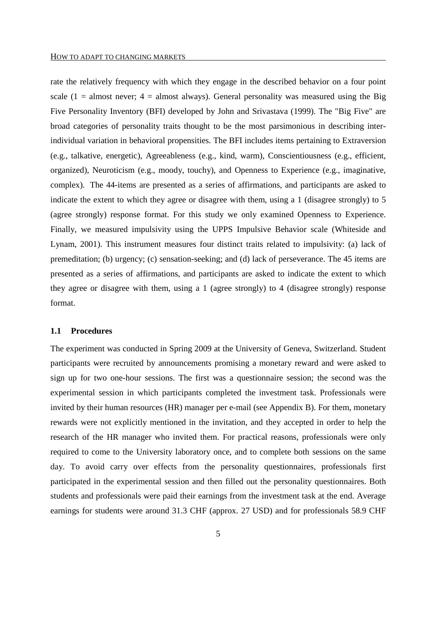rate the relatively frequency with which they engage in the described behavior on a four point scale (1 = almost never;  $4 =$  almost always). General personality was measured using the Big Five Personality Inventory (BFI) developed by John and Srivastava (1999). The "Big Five" are broad categories of personality traits thought to be the most parsimonious in describing interindividual variation in behavioral propensities. The BFI includes items pertaining to Extraversion (e.g., talkative, energetic), Agreeableness (e.g., kind, warm), Conscientiousness (e.g., efficient, organized), Neuroticism (e.g., moody, touchy), and Openness to Experience (e.g., imaginative, complex). The 44-items are presented as a series of affirmations, and participants are asked to indicate the extent to which they agree or disagree with them, using a 1 (disagree strongly) to 5 (agree strongly) response format. For this study we only examined Openness to Experience. Finally, we measured impulsivity using the UPPS Impulsive Behavior scale (Whiteside and Lynam, 2001). This instrument measures four distinct traits related to impulsivity: (a) lack of premeditation; (b) urgency; (c) sensation-seeking; and (d) lack of perseverance. The 45 items are presented as a series of affirmations, and participants are asked to indicate the extent to which they agree or disagree with them, using a 1 (agree strongly) to 4 (disagree strongly) response format.

#### **1.1 Procedures**

The experiment was conducted in Spring 2009 at the University of Geneva, Switzerland. Student participants were recruited by announcements promising a monetary reward and were asked to sign up for two one-hour sessions. The first was a questionnaire session; the second was the experimental session in which participants completed the investment task. Professionals were invited by their human resources (HR) manager per e-mail (see Appendix B). For them, monetary rewards were not explicitly mentioned in the invitation, and they accepted in order to help the research of the HR manager who invited them. For practical reasons, professionals were only required to come to the University laboratory once, and to complete both sessions on the same day. To avoid carry over effects from the personality questionnaires, professionals first participated in the experimental session and then filled out the personality questionnaires. Both students and professionals were paid their earnings from the investment task at the end. Average earnings for students were around 31.3 CHF (approx. 27 USD) and for professionals 58.9 CHF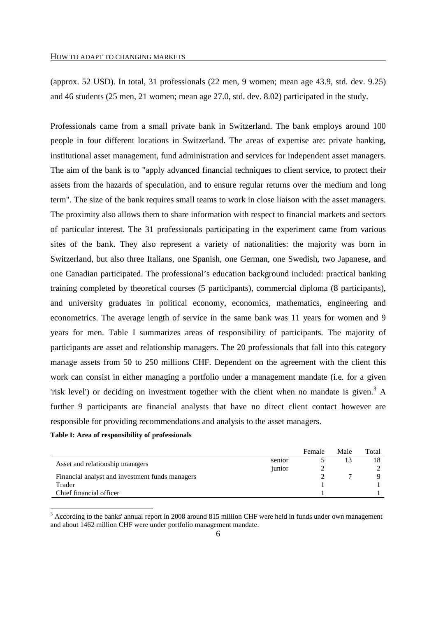(approx. 52 USD). In total, 31 professionals (22 men, 9 women; mean age 43.9, std. dev. 9.25) and 46 students (25 men, 21 women; mean age 27.0, std. dev. 8.02) participated in the study.

Professionals came from a small private bank in Switzerland. The bank employs around 100 people in four different locations in Switzerland. The areas of expertise are: private banking, institutional asset management, fund administration and services for independent asset managers. The aim of the bank is to "apply advanced financial techniques to client service, to protect their assets from the hazards of speculation, and to ensure regular returns over the medium and long term". The size of the bank requires small teams to work in close liaison with the asset managers. The proximity also allows them to share information with respect to financial markets and sectors of particular interest. The 31 professionals participating in the experiment came from various sites of the bank. They also represent a variety of nationalities: the majority was born in Switzerland, but also three Italians, one Spanish, one German, one Swedish, two Japanese, and one Canadian participated. The professional's education background included: practical banking training completed by theoretical courses (5 participants), commercial diploma (8 participants), and university graduates in political economy, economics, mathematics, engineering and econometrics. The average length of service in the same bank was 11 years for women and 9 years for men. Table I summarizes areas of responsibility of participants. The majority of participants are asset and relationship managers. The 20 professionals that fall into this category manage assets from 50 to 250 millions CHF. Dependent on the agreement with the client this work can consist in either managing a portfolio under a management mandate (i.e. for a given 'risk level') or deciding on investment together with the client when no mandate is given.<sup>3</sup> A further 9 participants are financial analysts that have no direct client contact however are responsible for providing recommendations and analysis to the asset managers.

#### **Table I: Area of responsibility of professionals**

-

|                                                 |        | Female | Male | Total |
|-------------------------------------------------|--------|--------|------|-------|
|                                                 | senior |        |      |       |
| Asset and relationship managers                 | junior |        |      |       |
| Financial analyst and investment funds managers |        |        |      |       |
| Trader                                          |        |        |      |       |
| Chief financial officer                         |        |        |      |       |

 $3$  According to the banks' annual report in 2008 around 815 million CHF were held in funds under own management and about 1462 million CHF were under portfolio management mandate.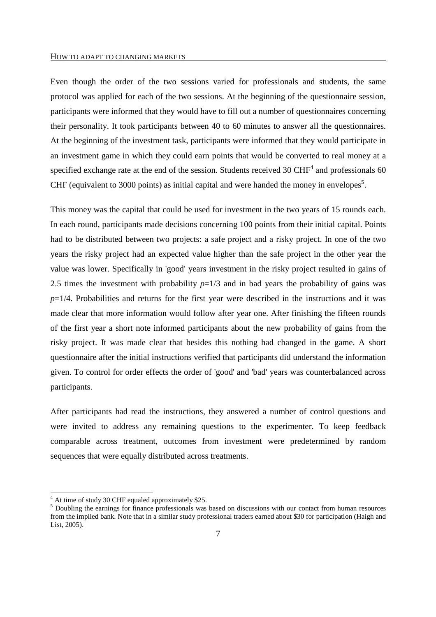#### HOW TO ADAPT TO CHANGING MARKETS

Even though the order of the two sessions varied for professionals and students, the same protocol was applied for each of the two sessions. At the beginning of the questionnaire session, participants were informed that they would have to fill out a number of questionnaires concerning their personality. It took participants between 40 to 60 minutes to answer all the questionnaires. At the beginning of the investment task, participants were informed that they would participate in an investment game in which they could earn points that would be converted to real money at a specified exchange rate at the end of the session. Students received 30 CHF<sup>4</sup> and professionals 60 CHF (equivalent to 3000 points) as initial capital and were handed the money in envelopes<sup>5</sup>.

This money was the capital that could be used for investment in the two years of 15 rounds each. In each round, participants made decisions concerning 100 points from their initial capital. Points had to be distributed between two projects: a safe project and a risky project. In one of the two years the risky project had an expected value higher than the safe project in the other year the value was lower. Specifically in 'good' years investment in the risky project resulted in gains of 2.5 times the investment with probability  $p=1/3$  and in bad years the probability of gains was  $p=1/4$ . Probabilities and returns for the first year were described in the instructions and it was made clear that more information would follow after year one. After finishing the fifteen rounds of the first year a short note informed participants about the new probability of gains from the risky project. It was made clear that besides this nothing had changed in the game. A short questionnaire after the initial instructions verified that participants did understand the information given. To control for order effects the order of 'good' and 'bad' years was counterbalanced across participants.

After participants had read the instructions, they answered a number of control questions and were invited to address any remaining questions to the experimenter. To keep feedback comparable across treatment, outcomes from investment were predetermined by random sequences that were equally distributed across treatments.

<sup>&</sup>lt;sup>4</sup> At time of study 30 CHF equaled approximately \$25.

<sup>&</sup>lt;sup>5</sup> Doubling the earnings for finance professionals was based on discussions with our contact from human resources from the implied bank. Note that in a similar study professional traders earned about \$30 for participation (Haigh and List, 2005).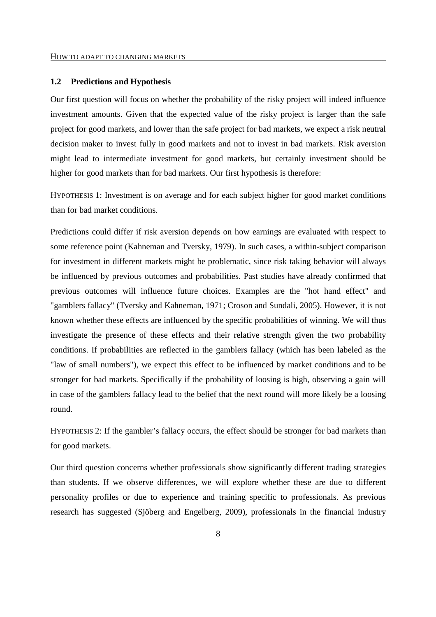#### **1.2 Predictions and Hypothesis**

Our first question will focus on whether the probability of the risky project will indeed influence investment amounts. Given that the expected value of the risky project is larger than the safe project for good markets, and lower than the safe project for bad markets, we expect a risk neutral decision maker to invest fully in good markets and not to invest in bad markets. Risk aversion might lead to intermediate investment for good markets, but certainly investment should be higher for good markets than for bad markets. Our first hypothesis is therefore:

HYPOTHESIS 1: Investment is on average and for each subject higher for good market conditions than for bad market conditions.

Predictions could differ if risk aversion depends on how earnings are evaluated with respect to some reference point (Kahneman and Tversky, 1979). In such cases, a within-subject comparison for investment in different markets might be problematic, since risk taking behavior will always be influenced by previous outcomes and probabilities. Past studies have already confirmed that previous outcomes will influence future choices. Examples are the "hot hand effect" and "gamblers fallacy" (Tversky and Kahneman, 1971; Croson and Sundali, 2005). However, it is not known whether these effects are influenced by the specific probabilities of winning. We will thus investigate the presence of these effects and their relative strength given the two probability conditions. If probabilities are reflected in the gamblers fallacy (which has been labeled as the "law of small numbers"), we expect this effect to be influenced by market conditions and to be stronger for bad markets. Specifically if the probability of loosing is high, observing a gain will in case of the gamblers fallacy lead to the belief that the next round will more likely be a loosing round.

HYPOTHESIS 2: If the gambler's fallacy occurs, the effect should be stronger for bad markets than for good markets.

Our third question concerns whether professionals show significantly different trading strategies than students. If we observe differences, we will explore whether these are due to different personality profiles or due to experience and training specific to professionals. As previous research has suggested (Sjöberg and Engelberg, 2009), professionals in the financial industry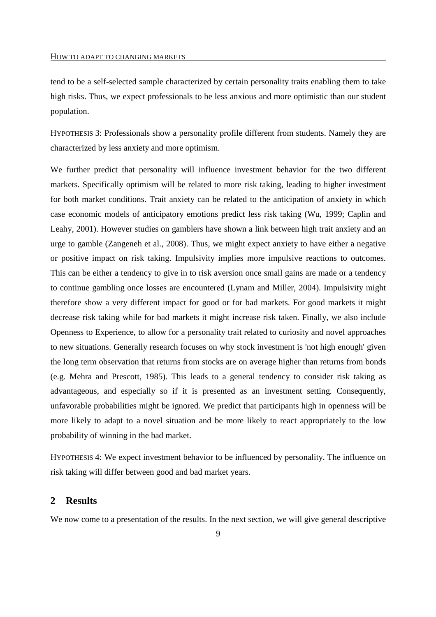tend to be a self-selected sample characterized by certain personality traits enabling them to take high risks. Thus, we expect professionals to be less anxious and more optimistic than our student population.

HYPOTHESIS 3: Professionals show a personality profile different from students. Namely they are characterized by less anxiety and more optimism.

We further predict that personality will influence investment behavior for the two different markets. Specifically optimism will be related to more risk taking, leading to higher investment for both market conditions. Trait anxiety can be related to the anticipation of anxiety in which case economic models of anticipatory emotions predict less risk taking (Wu, 1999; Caplin and Leahy, 2001). However studies on gamblers have shown a link between high trait anxiety and an urge to gamble (Zangeneh et al., 2008). Thus, we might expect anxiety to have either a negative or positive impact on risk taking. Impulsivity implies more impulsive reactions to outcomes. This can be either a tendency to give in to risk aversion once small gains are made or a tendency to continue gambling once losses are encountered (Lynam and Miller, 2004). Impulsivity might therefore show a very different impact for good or for bad markets. For good markets it might decrease risk taking while for bad markets it might increase risk taken. Finally, we also include Openness to Experience, to allow for a personality trait related to curiosity and novel approaches to new situations. Generally research focuses on why stock investment is 'not high enough' given the long term observation that returns from stocks are on average higher than returns from bonds (e.g. Mehra and Prescott, 1985). This leads to a general tendency to consider risk taking as advantageous, and especially so if it is presented as an investment setting. Consequently, unfavorable probabilities might be ignored. We predict that participants high in openness will be more likely to adapt to a novel situation and be more likely to react appropriately to the low probability of winning in the bad market.

HYPOTHESIS 4: We expect investment behavior to be influenced by personality. The influence on risk taking will differ between good and bad market years.

#### **2 Results**

We now come to a presentation of the results. In the next section, we will give general descriptive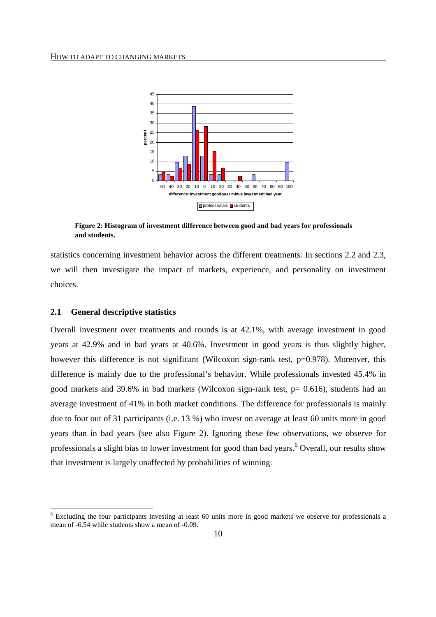

**Figure 2: Histogram of investment difference between good and bad years for professionals and students.** 

statistics concerning investment behavior across the different treatments. In sections 2.2 and 2.3, we will then investigate the impact of markets, experience, and personality on investment choices.

#### **2.1 General descriptive statistics**

-

Overall investment over treatments and rounds is at 42.1%, with average investment in good years at 42.9% and in bad years at 40.6%. Investment in good years is thus slightly higher, however this difference is not significant (Wilcoxon sign-rank test, p=0.978). Moreover, this difference is mainly due to the professional's behavior. While professionals invested 45.4% in good markets and 39.6% in bad markets (Wilcoxon sign-rank test, p= 0.616), students had an average investment of 41% in both market conditions. The difference for professionals is mainly due to four out of 31 participants (i.e. 13 %) who invest on average at least 60 units more in good years than in bad years (see also Figure 2). Ignoring these few observations, we observe for professionals a slight bias to lower investment for good than bad years.<sup>6</sup> Overall, our results show that investment is largely unaffected by probabilities of winning.

<sup>&</sup>lt;sup>6</sup> Excluding the four participants investing at least 60 units more in good markets we observe for professionals a mean of -6.54 while students show a mean of -0.09.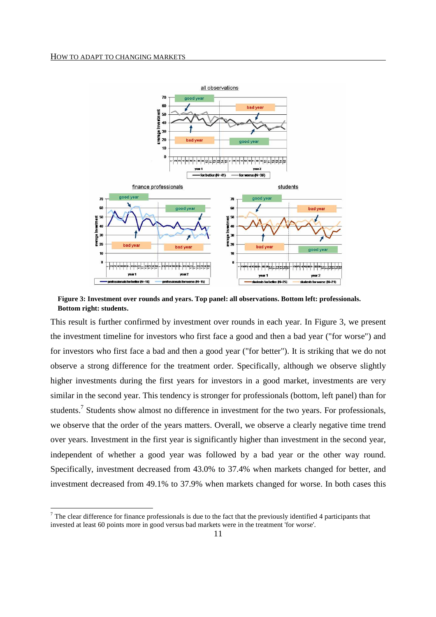-



**Figure 3: Investment over rounds and years. Top panel: all observations. Bottom left: professionals. Bottom right: students.** 

This result is further confirmed by investment over rounds in each year. In Figure 3, we present the investment timeline for investors who first face a good and then a bad year ("for worse") and for investors who first face a bad and then a good year ("for better"). It is striking that we do not observe a strong difference for the treatment order. Specifically, although we observe slightly higher investments during the first years for investors in a good market, investments are very similar in the second year. This tendency is stronger for professionals (bottom, left panel) than for students.<sup>7</sup> Students show almost no difference in investment for the two years. For professionals, we observe that the order of the years matters. Overall, we observe a clearly negative time trend over years. Investment in the first year is significantly higher than investment in the second year, independent of whether a good year was followed by a bad year or the other way round. Specifically, investment decreased from 43.0% to 37.4% when markets changed for better, and investment decreased from 49.1% to 37.9% when markets changed for worse. In both cases this

 $<sup>7</sup>$  The clear difference for finance professionals is due to the fact that the previously identified 4 participants that</sup> invested at least 60 points more in good versus bad markets were in the treatment 'for worse'.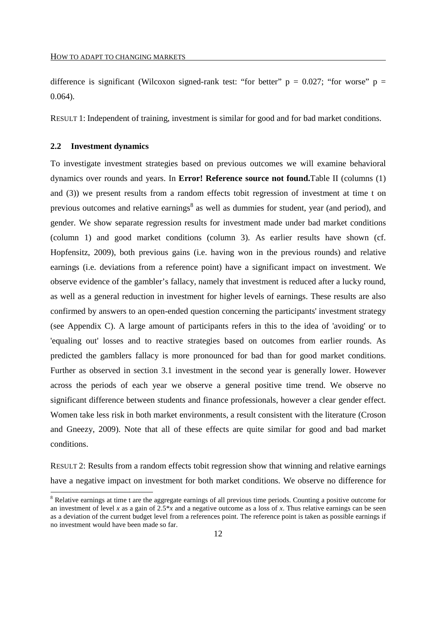difference is significant (Wilcoxon signed-rank test: "for better"  $p = 0.027$ ; "for worse"  $p =$ 0.064).

RESULT 1: Independent of training, investment is similar for good and for bad market conditions.

#### **2.2 Investment dynamics**

-

To investigate investment strategies based on previous outcomes we will examine behavioral dynamics over rounds and years. In **Error! Reference source not found.**Table II (columns (1) and (3)) we present results from a random effects tobit regression of investment at time t on previous outcomes and relative earnings<sup>8</sup> as well as dummies for student, year (and period), and gender. We show separate regression results for investment made under bad market conditions (column 1) and good market conditions (column 3). As earlier results have shown (cf. Hopfensitz, 2009), both previous gains (i.e. having won in the previous rounds) and relative earnings (i.e. deviations from a reference point) have a significant impact on investment. We observe evidence of the gambler's fallacy, namely that investment is reduced after a lucky round, as well as a general reduction in investment for higher levels of earnings. These results are also confirmed by answers to an open-ended question concerning the participants' investment strategy (see Appendix C). A large amount of participants refers in this to the idea of 'avoiding' or to 'equaling out' losses and to reactive strategies based on outcomes from earlier rounds. As predicted the gamblers fallacy is more pronounced for bad than for good market conditions. Further as observed in section 3.1 investment in the second year is generally lower. However across the periods of each year we observe a general positive time trend. We observe no significant difference between students and finance professionals, however a clear gender effect. Women take less risk in both market environments, a result consistent with the literature (Croson and Gneezy, 2009). Note that all of these effects are quite similar for good and bad market conditions.

RESULT 2: Results from a random effects tobit regression show that winning and relative earnings have a negative impact on investment for both market conditions. We observe no difference for

<sup>&</sup>lt;sup>8</sup> Relative earnings at time t are the aggregate earnings of all previous time periods. Counting a positive outcome for an investment of level *x* as a gain of  $2.5*x$  and a negative outcome as a loss of *x*. Thus relative earnings can be seen as a deviation of the current budget level from a references point. The reference point is taken as possible earnings if no investment would have been made so far.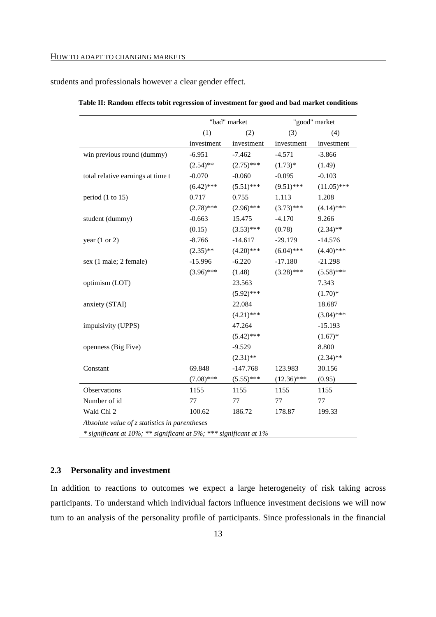students and professionals however a clear gender effect.

|                                               |              | "bad" market | "good" market |               |  |
|-----------------------------------------------|--------------|--------------|---------------|---------------|--|
|                                               | (1)          | (2)          | (3)           | (4)           |  |
|                                               | investment   | investment   | investment    | investment    |  |
| win previous round (dummy)                    | $-6.951$     | $-7.462$     | $-4.571$      | $-3.866$      |  |
|                                               | $(2.54)$ **  | $(2.75)$ *** | $(1.73)*$     | (1.49)        |  |
| total relative earnings at time t             | $-0.070$     | $-0.060$     | $-0.095$      | $-0.103$      |  |
|                                               | $(6.42)$ *** | $(5.51)$ *** | $(9.51)$ ***  | $(11.05)$ *** |  |
| period $(1 \text{ to } 15)$                   | 0.717        | 0.755        | 1.113         | 1.208         |  |
|                                               | $(2.78)$ *** | $(2.96)$ *** | $(3.73)$ ***  | $(4.14)$ ***  |  |
| student (dummy)                               | $-0.663$     | 15.475       | $-4.170$      | 9.266         |  |
|                                               | (0.15)       | $(3.53)$ *** | (0.78)        | $(2.34)$ **   |  |
| year $(1 or 2)$                               | $-8.766$     | $-14.617$    | $-29.179$     | $-14.576$     |  |
|                                               | $(2.35)$ **  | $(4.20)$ *** | $(6.04)$ ***  | $(4.40)$ ***  |  |
| sex (1 male; 2 female)                        | $-15.996$    | $-6.220$     | $-17.180$     | $-21.298$     |  |
|                                               | $(3.96)$ *** | (1.48)       | $(3.28)$ ***  | $(5.58)$ ***  |  |
| optimism (LOT)                                |              | 23.563       |               | 7.343         |  |
|                                               |              | $(5.92)$ *** |               | $(1.70)*$     |  |
| anxiety (STAI)                                |              | 22.084       |               | 18.687        |  |
|                                               |              | $(4.21)$ *** |               | $(3.04)$ ***  |  |
| impulsivity (UPPS)                            |              | 47.264       |               | $-15.193$     |  |
|                                               |              | $(5.42)$ *** |               | $(1.67)*$     |  |
| openness (Big Five)                           |              | $-9.529$     |               | 8.800         |  |
|                                               |              | $(2.31)$ **  |               | $(2.34)$ **   |  |
| Constant                                      | 69.848       | $-147.768$   | 123.983       | 30.156        |  |
|                                               | $(7.08)$ *** | $(5.55)$ *** | $(12.36)$ *** | (0.95)        |  |
| Observations                                  | 1155         | 1155         | 1155          | 1155          |  |
| Number of id                                  | 77           | 77           | 77            | 77            |  |
| Wald Chi 2                                    | 100.62       | 186.72       | 178.87        | 199.33        |  |
| Absolute value of z statistics in parentheses |              |              |               |               |  |

|  |  | Table II: Random effects tobit regression of investment for good and bad market conditions |  |  |  |
|--|--|--------------------------------------------------------------------------------------------|--|--|--|
|  |  |                                                                                            |  |  |  |

*\* significant at 10%; \*\* significant at 5%; \*\*\* significant at 1%* 

#### **2.3 Personality and investment**

In addition to reactions to outcomes we expect a large heterogeneity of risk taking across participants. To understand which individual factors influence investment decisions we will now turn to an analysis of the personality profile of participants. Since professionals in the financial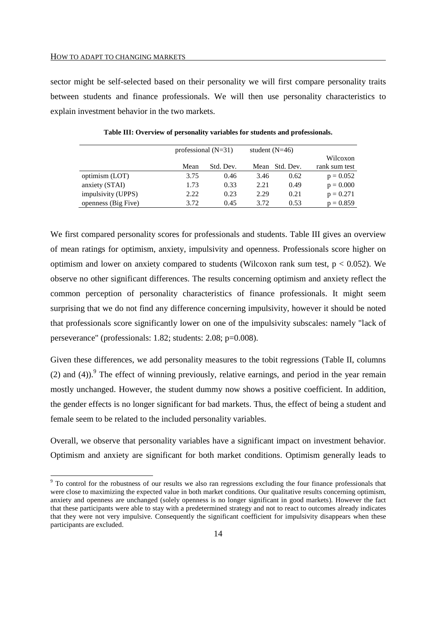-

sector might be self-selected based on their personality we will first compare personality traits between students and finance professionals. We will then use personality characteristics to explain investment behavior in the two markets.

|                     |      | professional $(N=31)$ | student $(N=46)$ |                |               |
|---------------------|------|-----------------------|------------------|----------------|---------------|
|                     |      |                       |                  |                | Wilcoxon      |
|                     | Mean | Std. Dev.             |                  | Mean Std. Dev. | rank sum test |
| optimism (LOT)      | 3.75 | 0.46                  | 3.46             | 0.62           | $p = 0.052$   |
| anxiety (STAI)      | 1.73 | 0.33                  | 2.21             | 0.49           | $p = 0.000$   |
| impulsivity (UPPS)  | 2.22 | 0.23                  | 2.29             | 0.21           | $p = 0.271$   |
| openness (Big Five) | 3.72 | 0.45                  | 3.72             | 0.53           | $p = 0.859$   |

**Table III: Overview of personality variables for students and professionals.** 

We first compared personality scores for professionals and students. Table III gives an overview of mean ratings for optimism, anxiety, impulsivity and openness. Professionals score higher on optimism and lower on anxiety compared to students (Wilcoxon rank sum test,  $p < 0.052$ ). We observe no other significant differences. The results concerning optimism and anxiety reflect the common perception of personality characteristics of finance professionals. It might seem surprising that we do not find any difference concerning impulsivity, however it should be noted that professionals score significantly lower on one of the impulsivity subscales: namely "lack of perseverance" (professionals: 1.82; students: 2.08; p=0.008).

Given these differences, we add personality measures to the tobit regressions (Table II, columns (2) and (4)). <sup>9</sup> The effect of winning previously, relative earnings, and period in the year remain mostly unchanged. However, the student dummy now shows a positive coefficient. In addition, the gender effects is no longer significant for bad markets. Thus, the effect of being a student and female seem to be related to the included personality variables.

Overall, we observe that personality variables have a significant impact on investment behavior. Optimism and anxiety are significant for both market conditions. Optimism generally leads to

<sup>&</sup>lt;sup>9</sup> To control for the robustness of our results we also ran regressions excluding the four finance professionals that were close to maximizing the expected value in both market conditions. Our qualitative results concerning optimism, anxiety and openness are unchanged (solely openness is no longer significant in good markets). However the fact that these participants were able to stay with a predetermined strategy and not to react to outcomes already indicates that they were not very impulsive. Consequently the significant coefficient for impulsivity disappears when these participants are excluded.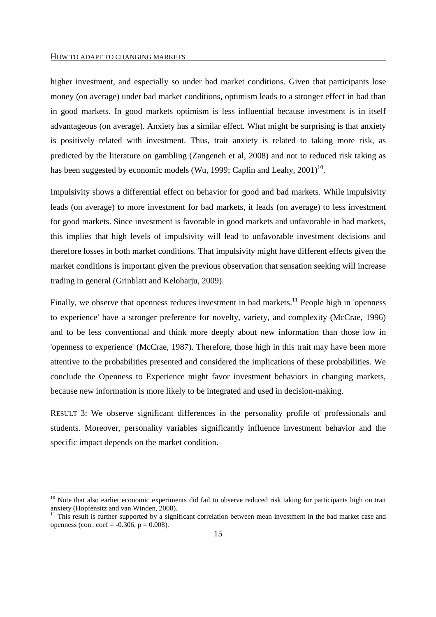#### HOW TO ADAPT TO CHANGING MARKETS

-

higher investment, and especially so under bad market conditions. Given that participants lose money (on average) under bad market conditions, optimism leads to a stronger effect in bad than in good markets. In good markets optimism is less influential because investment is in itself advantageous (on average). Anxiety has a similar effect. What might be surprising is that anxiety is positively related with investment. Thus, trait anxiety is related to taking more risk, as predicted by the literature on gambling (Zangeneh et al, 2008) and not to reduced risk taking as has been suggested by economic models (Wu, 1999; Caplin and Leahy,  $2001$ )<sup>10</sup>.

Impulsivity shows a differential effect on behavior for good and bad markets. While impulsivity leads (on average) to more investment for bad markets, it leads (on average) to less investment for good markets. Since investment is favorable in good markets and unfavorable in bad markets, this implies that high levels of impulsivity will lead to unfavorable investment decisions and therefore losses in both market conditions. That impulsivity might have different effects given the market conditions is important given the previous observation that sensation seeking will increase trading in general (Grinblatt and Keloharju, 2009).

Finally, we observe that openness reduces investment in bad markets.<sup>11</sup> People high in 'openness' to experience' have a stronger preference for novelty, variety, and complexity (McCrae, 1996) and to be less conventional and think more deeply about new information than those low in 'openness to experience' (McCrae, 1987). Therefore, those high in this trait may have been more attentive to the probabilities presented and considered the implications of these probabilities. We conclude the Openness to Experience might favor investment behaviors in changing markets, because new information is more likely to be integrated and used in decision-making.

RESULT 3: We observe significant differences in the personality profile of professionals and students. Moreover, personality variables significantly influence investment behavior and the specific impact depends on the market condition.

<sup>&</sup>lt;sup>10</sup> Note that also earlier economic experiments did fail to observe reduced risk taking for participants high on trait anxiety (Hopfensitz and van Winden, 2008).

 $11$  This result is further supported by a significant correlation between mean investment in the bad market case and openness (corr. coef =  $-0.306$ , p = 0.008).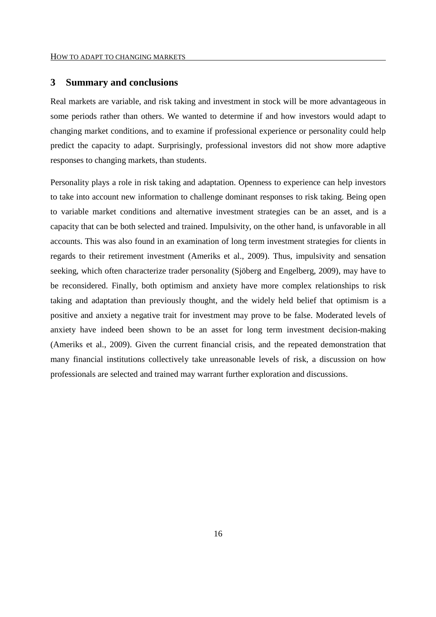#### **3 Summary and conclusions**

Real markets are variable, and risk taking and investment in stock will be more advantageous in some periods rather than others. We wanted to determine if and how investors would adapt to changing market conditions, and to examine if professional experience or personality could help predict the capacity to adapt. Surprisingly, professional investors did not show more adaptive responses to changing markets, than students.

Personality plays a role in risk taking and adaptation. Openness to experience can help investors to take into account new information to challenge dominant responses to risk taking. Being open to variable market conditions and alternative investment strategies can be an asset, and is a capacity that can be both selected and trained. Impulsivity, on the other hand, is unfavorable in all accounts. This was also found in an examination of long term investment strategies for clients in regards to their retirement investment (Ameriks et al., 2009). Thus, impulsivity and sensation seeking, which often characterize trader personality (Sjöberg and Engelberg, 2009), may have to be reconsidered. Finally, both optimism and anxiety have more complex relationships to risk taking and adaptation than previously thought, and the widely held belief that optimism is a positive and anxiety a negative trait for investment may prove to be false. Moderated levels of anxiety have indeed been shown to be an asset for long term investment decision-making (Ameriks et al., 2009). Given the current financial crisis, and the repeated demonstration that many financial institutions collectively take unreasonable levels of risk, a discussion on how professionals are selected and trained may warrant further exploration and discussions.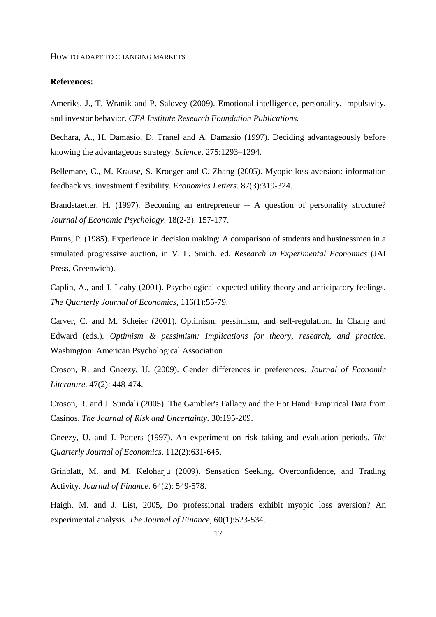#### **References:**

Ameriks, J., T. Wranik and P. Salovey (2009). Emotional intelligence, personality, impulsivity, and investor behavior. *CFA Institute Research Foundation Publications.* 

Bechara, A., H. Damasio, D. Tranel and A. Damasio (1997). Deciding advantageously before knowing the advantageous strategy. *Science*. 275:1293–1294.

Bellemare, C., M. Krause, S. Kroeger and C. Zhang (2005). Myopic loss aversion: information feedback vs. investment flexibility. *Economics Letters*. 87(3):319-324.

Brandstaetter, H. (1997). Becoming an entrepreneur -- A question of personality structure? *Journal of Economic Psychology*. 18(2-3): 157-177.

Burns, P. (1985). Experience in decision making: A comparison of students and businessmen in a simulated progressive auction, in V. L. Smith, ed. *Research in Experimental Economics* (JAI Press, Greenwich).

Caplin, A., and J. Leahy (2001). Psychological expected utility theory and anticipatory feelings. *The Quarterly Journal of Economics*, 116(1):55-79.

Carver, C. and M. Scheier (2001). Optimism, pessimism, and self-regulation. In Chang and Edward (eds.). *Optimism & pessimism: Implications for theory, research, and practice*. Washington: American Psychological Association.

Croson, R. and Gneezy, U. (2009). Gender differences in preferences. *Journal of Economic Literature*. 47(2): 448-474.

Croson, R. and J. Sundali (2005). The Gambler's Fallacy and the Hot Hand: Empirical Data from Casinos. *The Journal of Risk and Uncertainty*. 30:195-209.

Gneezy, U. and J. Potters (1997). An experiment on risk taking and evaluation periods. *The Quarterly Journal of Economics*. 112(2):631-645.

Grinblatt, M. and M. Keloharju (2009). Sensation Seeking, Overconfidence, and Trading Activity. *Journal of Finance*. 64(2): 549-578.

Haigh, M. and J. List, 2005, Do professional traders exhibit myopic loss aversion? An experimental analysis. *The Journal of Finance*, 60(1):523-534.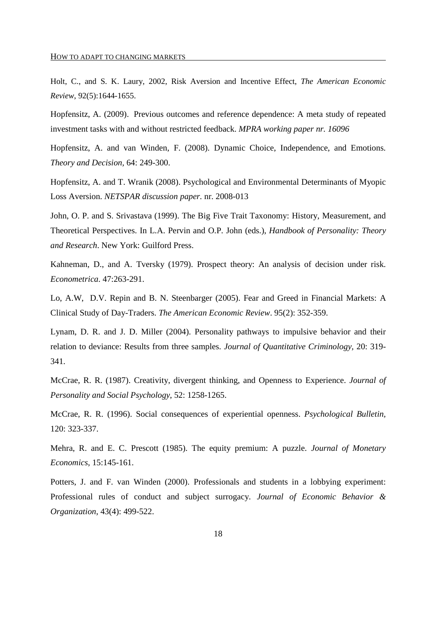Holt, C., and S. K. Laury, 2002, Risk Aversion and Incentive Effect, *The American Economic Review*, 92(5):1644-1655.

Hopfensitz, A. (2009). Previous outcomes and reference dependence: A meta study of repeated investment tasks with and without restricted feedback. *MPRA working paper nr. 16096* 

Hopfensitz, A. and van Winden, F. (2008). Dynamic Choice, Independence, and Emotions. *Theory and Decision,* 64: 249-300.

Hopfensitz, A. and T. Wranik (2008). Psychological and Environmental Determinants of Myopic Loss Aversion. *NETSPAR discussion paper.* nr. 2008-013

John, O. P. and S. Srivastava (1999). The Big Five Trait Taxonomy: History, Measurement, and Theoretical Perspectives. In L.A. Pervin and O.P. John (eds.), *Handbook of Personality: Theory and Research*. New York: Guilford Press.

Kahneman, D., and A. Tversky (1979). Prospect theory: An analysis of decision under risk. *Econometrica*. 47:263-291.

Lo, A.W, D.V. Repin and B. N. Steenbarger (2005). Fear and Greed in Financial Markets: A Clinical Study of Day-Traders. *The American Economic Review*. 95(2): 352-359.

Lynam, D. R. and J. D. Miller (2004). Personality pathways to impulsive behavior and their relation to deviance: Results from three samples. *Journal of Quantitative Criminology,* 20: 319- 341.

McCrae, R. R. (1987). Creativity, divergent thinking, and Openness to Experience. *Journal of Personality and Social Psychology*, 52: 1258-1265.

McCrae, R. R. (1996). Social consequences of experiential openness. *Psychological Bulletin,*  120: 323-337.

Mehra, R. and E. C. Prescott (1985). The equity premium: A puzzle. *Journal of Monetary Economics*, 15:145-161.

Potters, J. and F. van Winden (2000). Professionals and students in a lobbying experiment: Professional rules of conduct and subject surrogacy. *Journal of Economic Behavior & Organization*, 43(4): 499-522.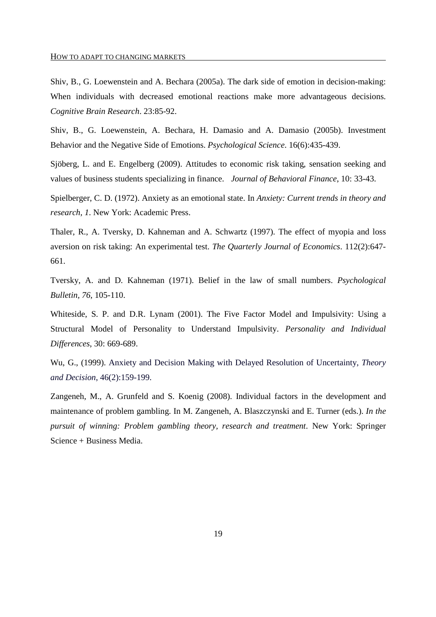Shiv, B., G. Loewenstein and A. Bechara (2005a). The dark side of emotion in decision-making: When individuals with decreased emotional reactions make more advantageous decisions. *Cognitive Brain Research*. 23:85-92.

Shiv, B., G. Loewenstein, A. Bechara, H. Damasio and A. Damasio (2005b). Investment Behavior and the Negative Side of Emotions. *Psychological Science*. 16(6):435-439.

Sjöberg, L. and E. Engelberg (2009). Attitudes to economic risk taking, sensation seeking and values of business students specializing in finance. *Journal of Behavioral Finance*, 10: 33-43.

Spielberger, C. D. (1972). Anxiety as an emotional state. In *Anxiety: Current trends in theory and research, 1*. New York: Academic Press.

Thaler, R., A. Tversky, D. Kahneman and A. Schwartz (1997). The effect of myopia and loss aversion on risk taking: An experimental test. *The Quarterly Journal of Economics*. 112(2):647- 661.

Tversky, A. and D. Kahneman (1971). Belief in the law of small numbers. *Psychological Bulletin, 76*, 105-110.

Whiteside, S. P. and D.R. Lynam (2001). The Five Factor Model and Impulsivity: Using a Structural Model of Personality to Understand Impulsivity. *Personality and Individual Differences*, 30: 669-689.

Wu, G., (1999). Anxiety and Decision Making with Delayed Resolution of Uncertainty, *Theory and Decision*, 46(2):159-199.

Zangeneh, M., A. Grunfeld and S. Koenig (2008). Individual factors in the development and maintenance of problem gambling. In M. Zangeneh, A. Blaszczynski and E. Turner (eds.). *In the pursuit of winning: Problem gambling theory, research and treatment*. New York: Springer Science + Business Media.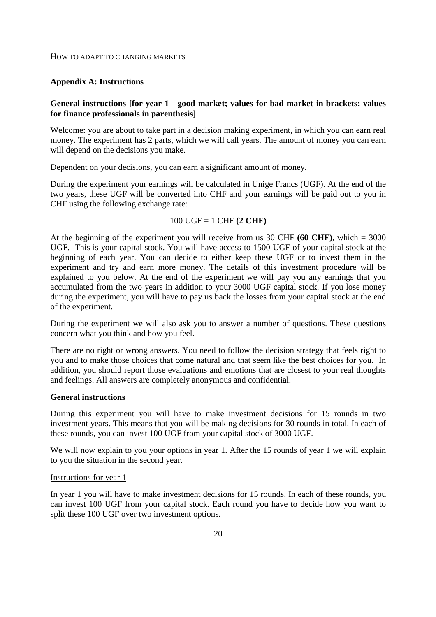#### **Appendix A: Instructions**

#### **General instructions [for year 1 - good market; values for bad market in brackets; values for finance professionals in parenthesis]**

Welcome: you are about to take part in a decision making experiment, in which you can earn real money. The experiment has 2 parts, which we will call years. The amount of money you can earn will depend on the decisions you make.

Dependent on your decisions, you can earn a significant amount of money.

During the experiment your earnings will be calculated in Unige Francs (UGF). At the end of the two years, these UGF will be converted into CHF and your earnings will be paid out to you in CHF using the following exchange rate:

#### 100 UGF = 1 CHF **(2 CHF)**

At the beginning of the experiment you will receive from us  $30$  CHF  $(60 \text{ CHF})$ , which  $= 3000$ UGF. This is your capital stock. You will have access to 1500 UGF of your capital stock at the beginning of each year. You can decide to either keep these UGF or to invest them in the experiment and try and earn more money. The details of this investment procedure will be explained to you below. At the end of the experiment we will pay you any earnings that you accumulated from the two years in addition to your 3000 UGF capital stock. If you lose money during the experiment, you will have to pay us back the losses from your capital stock at the end of the experiment.

During the experiment we will also ask you to answer a number of questions. These questions concern what you think and how you feel.

There are no right or wrong answers. You need to follow the decision strategy that feels right to you and to make those choices that come natural and that seem like the best choices for you. In addition, you should report those evaluations and emotions that are closest to your real thoughts and feelings. All answers are completely anonymous and confidential.

#### **General instructions**

During this experiment you will have to make investment decisions for 15 rounds in two investment years. This means that you will be making decisions for 30 rounds in total. In each of these rounds, you can invest 100 UGF from your capital stock of 3000 UGF.

We will now explain to you your options in year 1. After the 15 rounds of year 1 we will explain to you the situation in the second year.

#### Instructions for year 1

In year 1 you will have to make investment decisions for 15 rounds. In each of these rounds, you can invest 100 UGF from your capital stock. Each round you have to decide how you want to split these 100 UGF over two investment options.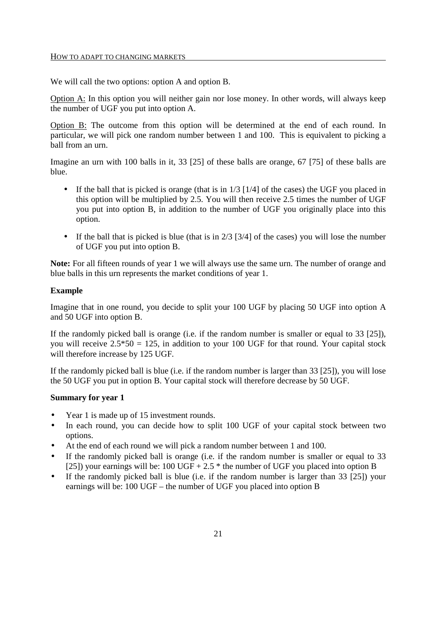We will call the two options: option A and option B.

Option A: In this option you will neither gain nor lose money. In other words, will always keep the number of UGF you put into option A.

Option B: The outcome from this option will be determined at the end of each round. In particular, we will pick one random number between 1 and 100. This is equivalent to picking a ball from an urn.

Imagine an urn with 100 balls in it, 33 [25] of these balls are orange, 67 [75] of these balls are blue.

- If the ball that is picked is orange (that is in  $1/3$  [1/4] of the cases) the UGF you placed in this option will be multiplied by 2.5. You will then receive 2.5 times the number of UGF you put into option B, in addition to the number of UGF you originally place into this option.
- If the ball that is picked is blue (that is in  $2/3$  [3/4] of the cases) you will lose the number of UGF you put into option B.

**Note:** For all fifteen rounds of year 1 we will always use the same urn. The number of orange and blue balls in this urn represents the market conditions of year 1.

#### **Example**

Imagine that in one round, you decide to split your 100 UGF by placing 50 UGF into option A and 50 UGF into option B.

If the randomly picked ball is orange (i.e. if the random number is smaller or equal to 33 [25]), you will receive  $2.5*50 = 125$ , in addition to your 100 UGF for that round. Your capital stock will therefore increase by 125 UGF.

If the randomly picked ball is blue (i.e. if the random number is larger than 33 [25]), you will lose the 50 UGF you put in option B. Your capital stock will therefore decrease by 50 UGF.

#### **Summary for year 1**

- Year 1 is made up of 15 investment rounds.
- In each round, you can decide how to split 100 UGF of your capital stock between two options.
- At the end of each round we will pick a random number between 1 and 100.
- If the randomly picked ball is orange (i.e. if the random number is smaller or equal to 33 [25]) your earnings will be:  $100 \text{ UGF} + 2.5$  \* the number of UGF you placed into option B
- If the randomly picked ball is blue (i.e. if the random number is larger than 33 [25]) your earnings will be: 100 UGF – the number of UGF you placed into option B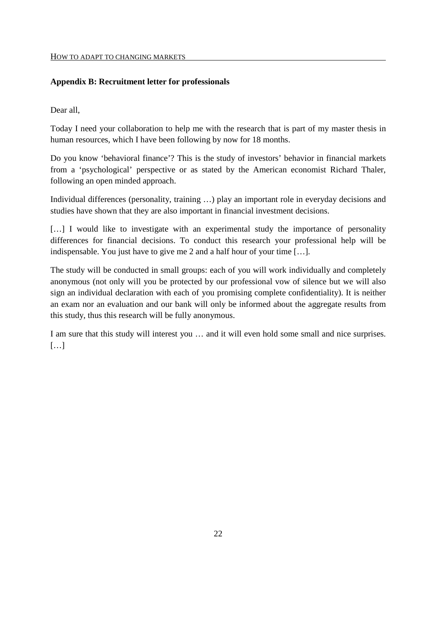#### HOW TO ADAPT TO CHANGING MARKETS

#### **Appendix B: Recruitment letter for professionals**

Dear all,

Today I need your collaboration to help me with the research that is part of my master thesis in human resources, which I have been following by now for 18 months.

Do you know 'behavioral finance'? This is the study of investors' behavior in financial markets from a 'psychological' perspective or as stated by the American economist Richard Thaler, following an open minded approach.

Individual differences (personality, training ...) play an important role in everyday decisions and studies have shown that they are also important in financial investment decisions.

[...] I would like to investigate with an experimental study the importance of personality differences for financial decisions. To conduct this research your professional help will be indispensable. You just have to give me 2 and a half hour of your time […].

The study will be conducted in small groups: each of you will work individually and completely anonymous (not only will you be protected by our professional vow of silence but we will also sign an individual declaration with each of you promising complete confidentiality). It is neither an exam nor an evaluation and our bank will only be informed about the aggregate results from this study, thus this research will be fully anonymous.

I am sure that this study will interest you … and it will even hold some small and nice surprises.  $[...]$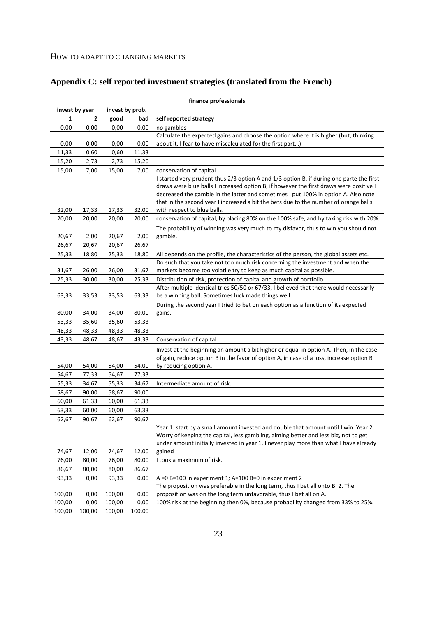#### **Appendix C: self reported investment strategies (translated from the French)**

|        |                |        |                 | finance professionals                                                                                                                                                                                                                                                                                                                                            |
|--------|----------------|--------|-----------------|------------------------------------------------------------------------------------------------------------------------------------------------------------------------------------------------------------------------------------------------------------------------------------------------------------------------------------------------------------------|
|        | invest by year |        | invest by prob. |                                                                                                                                                                                                                                                                                                                                                                  |
| 1      | 2              | good   | bad             | self reported strategy                                                                                                                                                                                                                                                                                                                                           |
| 0,00   | 0,00           | 0,00   | 0,00            | no gambles                                                                                                                                                                                                                                                                                                                                                       |
|        |                |        |                 | Calculate the expected gains and choose the option where it is higher (but, thinking                                                                                                                                                                                                                                                                             |
| 0,00   | 0,00           | 0,00   | 0,00            | about it, I fear to have miscalculated for the first part)                                                                                                                                                                                                                                                                                                       |
| 11,33  | 0,60           | 0,60   | 11,33           |                                                                                                                                                                                                                                                                                                                                                                  |
| 15,20  | 2,73           | 2,73   | 15,20           |                                                                                                                                                                                                                                                                                                                                                                  |
| 15,00  | 7,00           | 15,00  | 7,00            | conservation of capital                                                                                                                                                                                                                                                                                                                                          |
|        |                |        |                 | I started very prudent thus 2/3 option A and 1/3 option B, if during one parte the first<br>draws were blue balls I increased option B, if however the first draws were positive I<br>decreased the gamble in the latter and sometimes I put 100% in option A. Also note<br>that in the second year I increased a bit the bets due to the number of orange balls |
| 32,00  | 17,33          | 17,33  | 32,00           | with respect to blue balls.                                                                                                                                                                                                                                                                                                                                      |
| 20,00  | 20,00          | 20,00  | 20,00           | conservation of capital, by placing 80% on the 100% safe, and by taking risk with 20%.                                                                                                                                                                                                                                                                           |
| 20,67  | 2,00           | 20,67  | 2,00            | The probability of winning was very much to my disfavor, thus to win you should not<br>gamble.                                                                                                                                                                                                                                                                   |
| 26,67  | 20,67          | 20,67  | 26,67           |                                                                                                                                                                                                                                                                                                                                                                  |
| 25,33  | 18,80          | 25,33  | 18,80           | All depends on the profile, the characteristics of the person, the global assets etc.                                                                                                                                                                                                                                                                            |
| 31,67  | 26,00          | 26,00  | 31,67           | Do such that you take not too much risk concerning the investment and when the<br>markets become too volatile try to keep as much capital as possible.                                                                                                                                                                                                           |
| 25,33  | 30,00          | 30,00  | 25,33           | Distribution of risk, protection of capital and growth of portfolio.                                                                                                                                                                                                                                                                                             |
|        |                |        |                 | After multiple identical tries 50/50 or 67/33, I believed that there would necessarily                                                                                                                                                                                                                                                                           |
| 63,33  | 33,53          | 33,53  | 63,33           | be a winning ball. Sometimes luck made things well.                                                                                                                                                                                                                                                                                                              |
|        |                |        |                 | During the second year I tried to bet on each option as a function of its expected                                                                                                                                                                                                                                                                               |
| 80,00  | 34,00          | 34,00  | 80,00           | gains.                                                                                                                                                                                                                                                                                                                                                           |
| 53,33  | 35,60          | 35,60  | 53,33           |                                                                                                                                                                                                                                                                                                                                                                  |
| 48,33  | 48,33          | 48,33  | 48,33           |                                                                                                                                                                                                                                                                                                                                                                  |
| 43,33  | 48,67          | 48,67  | 43,33           | Conservation of capital                                                                                                                                                                                                                                                                                                                                          |
| 54,00  | 54,00          | 54,00  | 54,00           | Invest at the beginning an amount a bit higher or equal in option A. Then, in the case<br>of gain, reduce option B in the favor of option A, in case of a loss, increase option B<br>by reducing option A.                                                                                                                                                       |
| 54,67  | 77,33          | 54,67  | 77,33           |                                                                                                                                                                                                                                                                                                                                                                  |
| 55,33  | 34,67          | 55,33  | 34,67           | Intermediate amount of risk.                                                                                                                                                                                                                                                                                                                                     |
| 58,67  | 90,00          | 58,67  | 90,00           |                                                                                                                                                                                                                                                                                                                                                                  |
| 60,00  | 61,33          | 60,00  | 61,33           |                                                                                                                                                                                                                                                                                                                                                                  |
| 63,33  | 60,00          | 60,00  | 63,33           |                                                                                                                                                                                                                                                                                                                                                                  |
| 62,67  | 90,67          | 62,67  | 90,67           |                                                                                                                                                                                                                                                                                                                                                                  |
|        |                |        |                 | Year 1: start by a small amount invested and double that amount until I win. Year 2:                                                                                                                                                                                                                                                                             |
|        |                |        |                 | Worry of keeping the capital, less gambling, aiming better and less big, not to get<br>under amount initially invested in year 1. I never play more than what I have already                                                                                                                                                                                     |
| 74,67  | 12,00          | 74,67  | 12,00           | gained                                                                                                                                                                                                                                                                                                                                                           |
| 76,00  | 80,00          | 76,00  | 80,00           | I took a maximum of risk.                                                                                                                                                                                                                                                                                                                                        |
| 86,67  | 80,00          | 80,00  | 86,67           |                                                                                                                                                                                                                                                                                                                                                                  |
| 93,33  | 0,00           | 93,33  | 0,00            | A = $0 B=100$ in experiment 1; A=100 B=0 in experiment 2                                                                                                                                                                                                                                                                                                         |
|        |                |        |                 | The proposition was preferable in the long term, thus I bet all onto B. 2. The                                                                                                                                                                                                                                                                                   |
| 100,00 | 0,00           | 100,00 | 0,00            | proposition was on the long term unfavorable, thus I bet all on A.                                                                                                                                                                                                                                                                                               |
| 100,00 | 0,00           | 100,00 | 0,00            | 100% risk at the beginning then 0%, because probability changed from 33% to 25%.                                                                                                                                                                                                                                                                                 |
| 100,00 | 100,00         | 100,00 | 100,00          |                                                                                                                                                                                                                                                                                                                                                                  |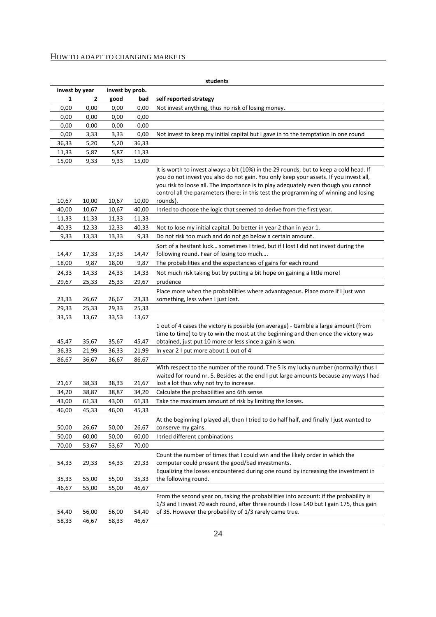#### HOW TO ADAPT TO CHANGING MARKETS

|                |                |                 |                | students                                                                                                                                                                                                                                                                                                                                                                  |
|----------------|----------------|-----------------|----------------|---------------------------------------------------------------------------------------------------------------------------------------------------------------------------------------------------------------------------------------------------------------------------------------------------------------------------------------------------------------------------|
| invest by year |                | invest by prob. |                |                                                                                                                                                                                                                                                                                                                                                                           |
| 1              | 2              | good            | bad            | self reported strategy                                                                                                                                                                                                                                                                                                                                                    |
| 0,00           | 0,00           | 0,00            | 0,00           | Not invest anything, thus no risk of losing money.                                                                                                                                                                                                                                                                                                                        |
| 0,00           | 0,00           | 0,00            | 0,00           |                                                                                                                                                                                                                                                                                                                                                                           |
| 0,00           | 0,00           | 0,00            | 0,00           |                                                                                                                                                                                                                                                                                                                                                                           |
| 0,00           | 3,33           | 3,33            | 0,00           | Not invest to keep my initial capital but I gave in to the temptation in one round                                                                                                                                                                                                                                                                                        |
| 36,33          | 5,20           | 5,20            | 36,33          |                                                                                                                                                                                                                                                                                                                                                                           |
| 11,33          | 5,87           | 5,87            | 11,33          |                                                                                                                                                                                                                                                                                                                                                                           |
| 15,00          | 9,33           | 9,33            | 15,00          |                                                                                                                                                                                                                                                                                                                                                                           |
| 10,67          | 10,00          | 10,67           | 10,00          | It is worth to invest always a bit (10%) in the 29 rounds, but to keep a cold head. If<br>you do not invest you also do not gain. You only keep your assets. If you invest all,<br>you risk to loose all. The importance is to play adequately even though you cannot<br>control all the parameters (here: in this test the programming of winning and losing<br>rounds). |
| 40,00          | 10,67          | 10,67           | 40,00          | I tried to choose the logic that seemed to derive from the first year.                                                                                                                                                                                                                                                                                                    |
| 11,33          | 11,33          | 11,33           | 11,33          |                                                                                                                                                                                                                                                                                                                                                                           |
| 40,33          | 12,33          | 12,33           | 40,33          | Not to lose my initial capital. Do better in year 2 than in year 1.                                                                                                                                                                                                                                                                                                       |
| 9,33           | 13,33          | 13,33           | 9,33           | Do not risk too much and do not go below a certain amount.                                                                                                                                                                                                                                                                                                                |
|                |                |                 |                | Sort of a hesitant luck sometimes I tried, but if I lost I did not invest during the                                                                                                                                                                                                                                                                                      |
| 14,47          | 17,33          | 17,33           | 14,47          | following round. Fear of losing too much                                                                                                                                                                                                                                                                                                                                  |
| 18,00          | 9,87           | 18,00           | 9,87           | The probabilities and the expectancies of gains for each round                                                                                                                                                                                                                                                                                                            |
| 24,33          | 14,33          | 24,33           | 14,33          | Not much risk taking but by putting a bit hope on gaining a little more!                                                                                                                                                                                                                                                                                                  |
| 29,67          | 25,33          | 25,33           | 29,67          | prudence                                                                                                                                                                                                                                                                                                                                                                  |
| 23,33          | 26,67          | 26,67           | 23,33          | Place more when the probabilities where advantageous. Place more if I just won<br>something, less when I just lost.                                                                                                                                                                                                                                                       |
| 29,33          | 25,33          | 29,33           | 25,33          |                                                                                                                                                                                                                                                                                                                                                                           |
| 33,53          | 13,67          | 33,53           | 13,67          |                                                                                                                                                                                                                                                                                                                                                                           |
| 45,47          | 35,67          | 35,67           | 45,47          | 1 out of 4 cases the victory is possible (on average) - Gamble a large amount (from<br>time to time) to try to win the most at the beginning and then once the victory was<br>obtained, just put 10 more or less since a gain is won.                                                                                                                                     |
| 36,33          | 21,99          | 36,33           | 21,99          | In year 2 I put more about 1 out of 4                                                                                                                                                                                                                                                                                                                                     |
| 86,67          | 36,67          | 36,67           | 86,67          |                                                                                                                                                                                                                                                                                                                                                                           |
| 21,67          | 38,33          | 38,33           | 21,67          | With respect to the number of the round. The 5 is my lucky number (normally) thus I<br>waited for round nr. 5. Besides at the end I put large amounts because any ways I had<br>lost a lot thus why not try to increase.                                                                                                                                                  |
| 34,20          | 38,87          | 38,87           | 34,20          | Calculate the probabilities and 6th sense.                                                                                                                                                                                                                                                                                                                                |
| 43,00          | 61,33          | 43,00           | 61,33          | Take the maximum amount of risk by limiting the losses.                                                                                                                                                                                                                                                                                                                   |
| 46,00          | 45,33          | 46,00           | 45,33          |                                                                                                                                                                                                                                                                                                                                                                           |
|                |                |                 |                | At the beginning I played all, then I tried to do half half, and finally I just wanted to                                                                                                                                                                                                                                                                                 |
| 50,00          | 26,67          | 50,00           | 26,67          | conserve my gains.                                                                                                                                                                                                                                                                                                                                                        |
| 50,00          | 60,00          | 50,00           | 60,00          | I tried different combinations                                                                                                                                                                                                                                                                                                                                            |
| 70,00          | 53,67          | 53,67           | 70,00          |                                                                                                                                                                                                                                                                                                                                                                           |
|                |                |                 |                | Count the number of times that I could win and the likely order in which the                                                                                                                                                                                                                                                                                              |
| 54,33          | 29,33          | 54,33           | 29,33          | computer could present the good/bad investments.                                                                                                                                                                                                                                                                                                                          |
|                |                |                 |                | Equalizing the losses encountered during one round by increasing the investment in<br>the following round.                                                                                                                                                                                                                                                                |
| 35,33<br>46,67 | 55,00<br>55,00 | 55,00           | 35,33<br>46,67 |                                                                                                                                                                                                                                                                                                                                                                           |
|                |                | 55,00           |                | From the second year on, taking the probabilities into account: if the probability is                                                                                                                                                                                                                                                                                     |
|                |                |                 |                | 1/3 and I invest 70 each round, after three rounds I lose 140 but I gain 175, thus gain                                                                                                                                                                                                                                                                                   |
| 54,40          | 56,00          | 56,00           | 54,40          | of 35. However the probability of 1/3 rarely came true.                                                                                                                                                                                                                                                                                                                   |
| 58,33          | 46,67          | 58,33           | 46,67          |                                                                                                                                                                                                                                                                                                                                                                           |